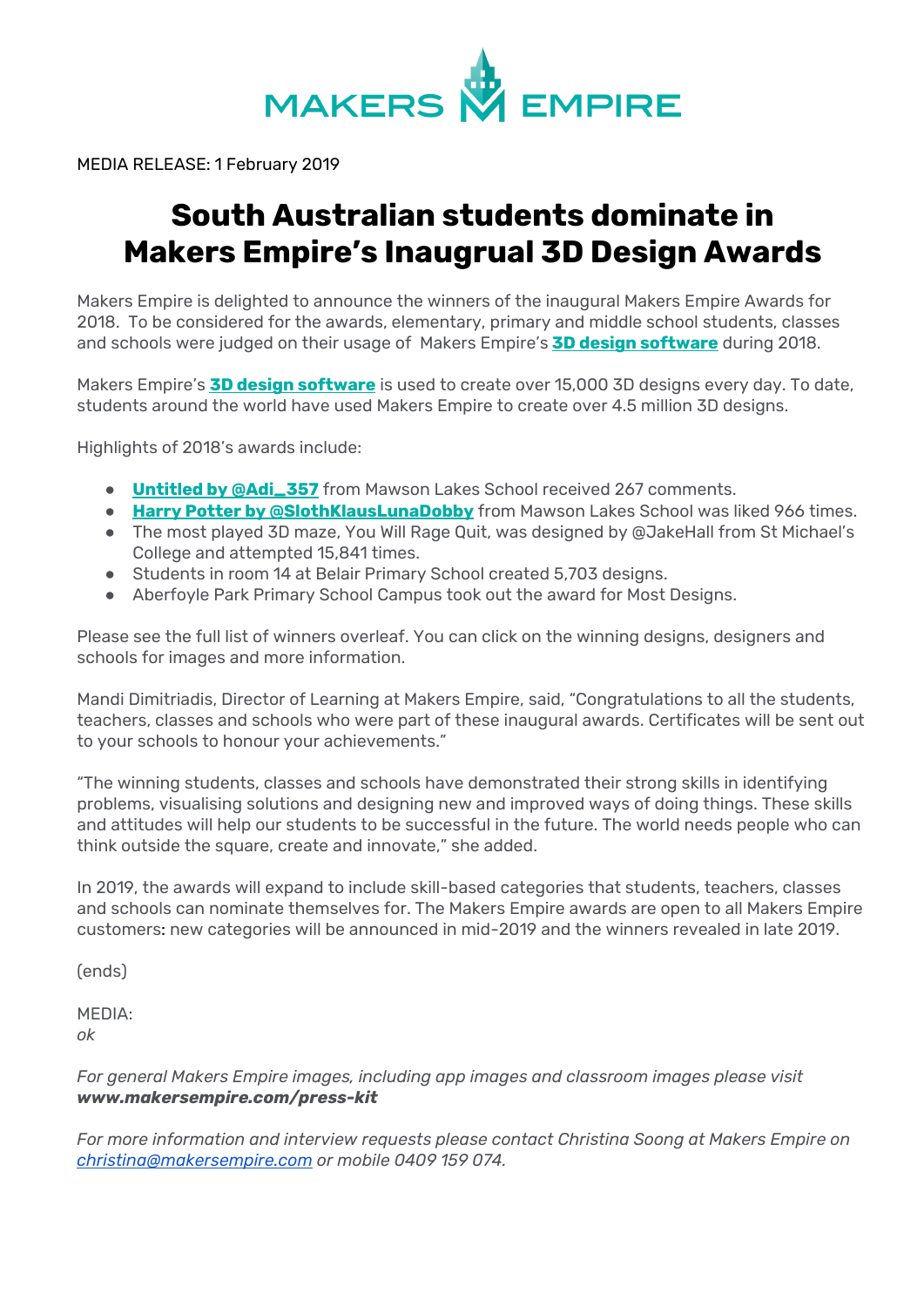

MEDIA RELEASE: 1 February 2019

# **South Australian students dominate in Makers Empire's Inaugrual 3D Design Awards**

Makers Empire is delighted to announce the winners of the inaugural Makers Empire Awards for 2018. To be considered for the awards, elementary, primary and middle school students, classes and schools were judged on their usage of Makers Empire's **3D design [software](http://www.makersempire.com/download)** during 2018.

Makers Empire's **3D design [software](http://www.makersempire.com/download)** is used to create over 15,000 3D designs every day. To date, students around the world have used Makers Empire to create over 4.5 million 3D designs.

Highlights of 2018's awards include:

- **Untitled by [@Adi\\_357](https://dash.makersempire.com/designs/adi_357-withered-violet)** from Mawson Lakes School received 267 comments.
- **Harry Potter by [@SlothKlausLunaDobby](https://dash.makersempire.com/designs/slothklauslunadobby-harry-potter-and-the-chamber-of-secrets)** from Mawson Lakes School was liked 966 times.
- The most played 3D maze, You Will Rage Quit, was designed by @JakeHall from St Michael's College and attempted 15,841 times.
- Students in room 14 at Belair Primary School created 5,703 designs.
- Aberfoyle Park Primary School Campus took out the award for Most Designs.

Please see the full list of winners overleaf. You can click on the winning designs, designers and schools for images and more information.

Mandi Dimitriadis, Director of Learning at Makers Empire, said, "Congratulations to all the students, teachers, classes and schools who were part of these inaugural awards. Certificates will be sent out to your schools to honour your achievements."

"The winning students, classes and schools have demonstrated their strong skills in identifying problems, visualising solutions and designing new and improved ways of doing things. These skills and attitudes will help our students to be successful in the future. The world needs people who can think outside the square, create and innovate," she added.

In 2019, the awards will expand to include skill-based categories that students, teachers, classes and schools can nominate themselves for. The Makers Empire awards are open to all Makers Empire customers: new categories will be announced in mid-2019 and the winners revealed in late 2019.

(ends)

MEDIA: *ok*

*For general Makers Empire images, including app images and classroom images please visit www.makersempire.com/press-kit*

*For more information and interview requests please contact Christina Soong at Makers Empire on [christina@makersempire.com](mailto:christina@makersempire.com) or mobile 0409 159 074.*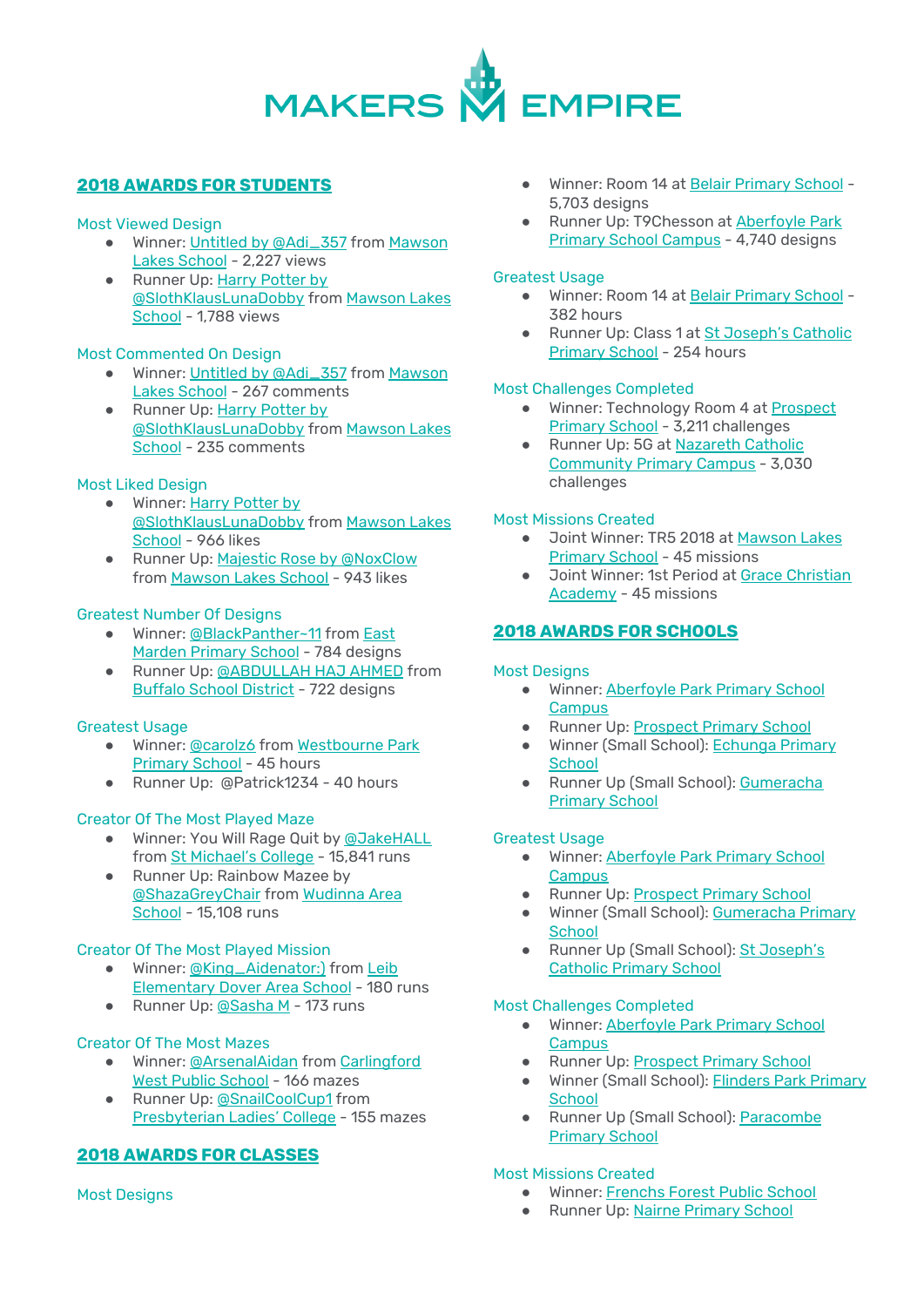

# **2018 AWARDS FOR STUDENTS**

# Most Viewed Design

- Winner: Untitled by [@Adi\\_357](https://dash.makersempire.com/designs/adi_357-withered-violet) from [Mawson](https://www.mawsonlakes.sa.edu.au/) Lakes [School](https://www.mawsonlakes.sa.edu.au/) - 2,227 views
- Runner Up: Harry [Potter](https://dash.makersempire.com/designs/slothklauslunadobby-harry-potter-and-the-chamber-of-secrets) by [@SlothKlausLunaDobby](https://dash.makersempire.com/designs/slothklauslunadobby-harry-potter-and-the-chamber-of-secrets) from [Mawson](https://www.mawsonlakes.sa.edu.au/) Lakes [School](https://www.mawsonlakes.sa.edu.au/) - 1,788 views

# Most Commented On Design

- Winner: Untitled by [@Adi\\_357](https://dash.makersempire.com/designs/adi_357-withered-violet) from [Mawson](https://www.mawsonlakes.sa.edu.au/) Lakes [School](https://www.mawsonlakes.sa.edu.au/) - 267 comments
- Runner Up: Harry [Potter](https://dash.makersempire.com/designs/slothklauslunadobby-harry-potter-and-the-chamber-of-secrets) by [@SlothKlausLunaDobby](https://dash.makersempire.com/designs/slothklauslunadobby-harry-potter-and-the-chamber-of-secrets) from [Mawson](https://www.mawsonlakes.sa.edu.au/) Lakes [School](https://www.mawsonlakes.sa.edu.au/) - 235 comments

# Most Liked Design

- Winner: Harry [Potter](https://dash.makersempire.com/designs/slothklauslunadobby-harry-potter-and-the-chamber-of-secrets) by [@SlothKlausLunaDobby](https://dash.makersempire.com/designs/slothklauslunadobby-harry-potter-and-the-chamber-of-secrets) from [Mawson](https://www.mawsonlakes.sa.edu.au/) Lakes [School](https://www.mawsonlakes.sa.edu.au/) - 966 likes
- Runner Up: Majestic Rose by [@NoxClow](https://dash.makersempire.com/designs/noxclow-moon-rose) from [Mawson](https://www.mawsonlakes.sa.edu.au/) Lakes School - 943 likes

# Greatest Number Of Designs

- Winner: [@BlackPanther~11](https://dash.makersempire.com/users/399661/designs) from [East](http://www.eastmardps.sa.edu.au/) Marden [Primary](http://www.eastmardps.sa.edu.au/) School - 784 designs
- Runner Up: [@ABDULLAH](https://dash.makersempire.com/users/329084/designs) HAJ AHMED from Buffalo School [District](https://www.buffaloschools.org/) - 722 designs

# Greatest Usage

- Winner: [@carolz6](https://dash.makersempire.com/users/306122/designs) from [Westbourne](https://www.wbourneps.sa.edu.au/) Park [Primary](https://www.wbourneps.sa.edu.au/) School - 45 hours
- Runner Up: @Patrick1234 40 hours

# Creator Of The Most Played Maze

- Winner: You Will Rage Quit by [@JakeHALL](https://dash.makersempire.com/users/118954/designs) from St [Michael's](http://www.smc.sa.edu.au/) College - 15,841 runs
- Runner Up: Rainbow Mazee by [@ShazaGreyChair](https://dash.makersempire.com/users/466589/designs) from [Wudinna](https://wudinnaas.sa.edu.au/) Area [School](https://wudinnaas.sa.edu.au/) - 15,108 runs

# Creator Of The Most Played Mission

- Winner: [@King\\_Aidenator:\)](https://dash.makersempire.com/users/429001/designs) from [Leib](http://www.doversd.org/schools/leib-elementary/) [Elementary](http://www.doversd.org/schools/leib-elementary/) Dover Area School - 180 runs
- Runner Up: [@Sasha](https://dash.makersempire.com/users/440155/designs) M 173 runs

# Creator Of The Most Mazes

- Winner: [@ArsenalAidan](https://dash.makersempire.com/users/366391/designs) from [Carlingford](https://www.carlingfordwest.nsw.edu.au/) West Public [School](https://www.carlingfordwest.nsw.edu.au/) - 166 mazes
- Runner Up: [@SnailCoolCup1](https://dash.makersempire.com/users/469391/designs) from [Presbyterian](https://www.plc.wa.edu.au/) Ladies' College - 155 mazes

# **2018 AWARDS FOR CLASSES**

Most Designs

- Winner: Room 14 at Belair [Primary](http://belairps.sa.edu.au/) School 5,703 designs
- Runner Up: T9Chesson at [Aberfoyle](http://www.appscampus.sa.edu.au/) Park Primary School [Campus](http://www.appscampus.sa.edu.au/) - 4,740 designs

### Greatest Usage

- Winner: Room 14 at Belair [Primary](http://belairps.sa.edu.au/) School 382 hours
- Runner Up: Class 1 at St [Joseph's](http://stjrockdale.catholic.edu.au/) Catholic [Primary](http://stjrockdale.catholic.edu.au/) School - 254 hours

## Most Challenges Completed

- Winner: Technology Room 4 at [Prospect](https://www.prospectps.sa.edu.au/) [Primary](https://www.prospectps.sa.edu.au/) School - 3,211 challenges
- Runner Up: 5G at [Nazareth](http://www.nazareth.org.au/) Catholic [Community](http://www.nazareth.org.au/) Primary Campus - 3,030 challenges

#### Most Missions Created

- Joint Winner: TR5 2018 at [Mawson](https://www.mawsonlakes.sa.edu.au/) Lakes [Primary](https://www.mawsonlakes.sa.edu.au/) School - 45 missions
- Joint Winner: 1st Period at Grace [Christian](http://www.grace.wa.edu.au/) [Academy](http://www.grace.wa.edu.au/) - 45 missions

# **2018 AWARDS FOR SCHOOLS**

# Most Designs

- Winner: [Aberfoyle](http://www.appscampus.sa.edu.au/) Park Primary School **[Campus](http://www.appscampus.sa.edu.au/)**
- Runner Up: [Prospect](https://www.prospectps.sa.edu.au/) Primary School
- Winner (Small School): [Echunga](http://www.echungaps.sa.edu.au/) Primary **[School](http://www.echungaps.sa.edu.au/)**
- Runner Up (Small School): [Gumeracha](http://www.gumerachr7.sa.edu.au/) [Primary](http://www.gumerachr7.sa.edu.au/) School

#### Greatest Usage

- Winner: [Aberfoyle](http://www.appscampus.sa.edu.au/) Park Primary School **[Campus](http://www.appscampus.sa.edu.au/)**
- Runner Up: [Prospect](https://www.prospectps.sa.edu.au/) Primary School
- Winner (Small School): [Gumeracha](http://www.gumerachr7.sa.edu.au/) Primary **[School](http://www.gumerachr7.sa.edu.au/)**
- Runner Up (Small School): St [Joseph's](https://sites.google.com/a/syd.catholic.edu.au/stjriverwood/) [Catholic](https://sites.google.com/a/syd.catholic.edu.au/stjriverwood/) Primary School

#### Most Challenges Completed

- Winner: [Aberfoyle](http://www.appscampus.sa.edu.au/) Park Primary School **[Campus](http://www.appscampus.sa.edu.au/)**
- Runner Up: [Prospect](https://www.prospectps.sa.edu.au/) Primary School
- Winner (Small School): [Flinders](http://www.flindspkps.sa.edu.au/) Park Primary **[School](http://www.flindspkps.sa.edu.au/)**
- Runner Up (Small School): [Paracombe](http://www.paracombps.sa.edu.au/) [Primary](http://www.paracombps.sa.edu.au/) School

#### Most Missions Created

- Winner: [Frenchs](https://frenchsfor-p.schools.nsw.gov.au/) Forest Public School
	- Runner Up: Nairne [Primary](http://nairneps.sa.edu.au/) School